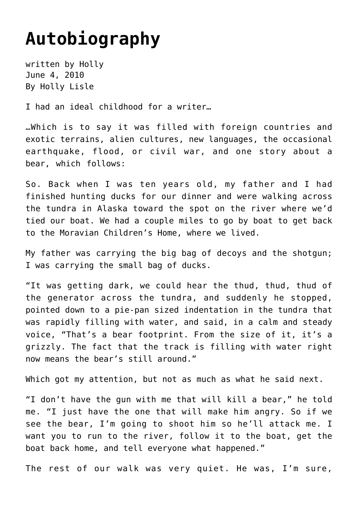## **[Autobiography](https://hollylisle.com/autobiography/)**

written by Holly June 4, 2010 [By Holly Lisle](https://hollylisle.com)

I had an ideal childhood for a writer…

…Which is to say it was filled with foreign countries and exotic terrains, alien cultures, new languages, the occasional earthquake, flood, or civil war, and one story about a bear, which follows:

So. Back when I was ten years old, my father and I had finished hunting ducks for our dinner and were walking across the tundra in Alaska toward the spot on the river where we'd tied our boat. We had a couple miles to go by boat to get back to the Moravian Children's Home, where we lived.

My father was carrying the big bag of decoys and the shotgun; I was carrying the small bag of ducks.

"It was getting dark, we could hear the thud, thud, thud of the generator across the tundra, and suddenly he stopped, pointed down to a pie-pan sized indentation in the tundra that was rapidly filling with water, and said, in a calm and steady voice, "That's a bear footprint. From the size of it, it's a grizzly. The fact that the track is filling with water right now means the bear's still around."

Which got my attention, but not as much as what he said next.

"I don't have the gun with me that will kill a bear," he told me. "I just have the one that will make him angry. So if we see the bear, I'm going to shoot him so he'll attack me. I want you to run to the river, follow it to the boat, get the boat back home, and tell everyone what happened."

The rest of our walk was very quiet. He was, I'm sure,